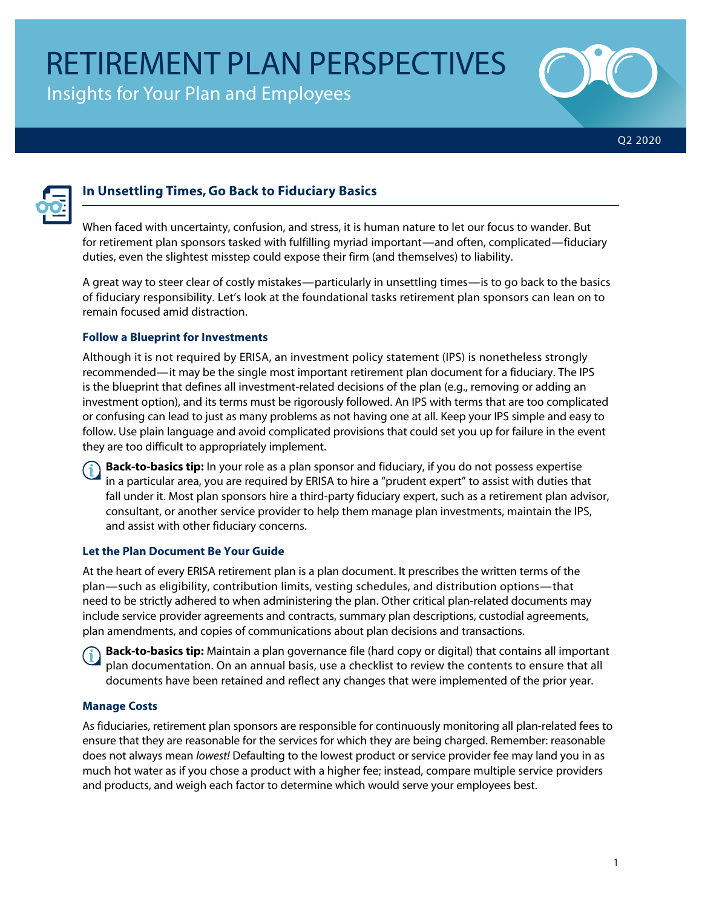Insights for Your Plan and Employees





# **In Unsettling Times, Go Back to Fiduciary Basics**

When faced with uncertainty, confusion, and stress, it is human nature to let our focus to wander. But for retirement plan sponsors tasked with fulfilling myriad important—and often, complicated—fiduciary duties, even the slightest misstep could expose their firm (and themselves) to liability.

A great way to steer clear of costly mistakes—particularly in unsettling times—is to go back to the basics of fiduciary responsibility. Let's look at the foundational tasks retirement plan sponsors can lean on to remain focused amid distraction.

### **Follow a Blueprint for Investments**

Although it is not required by ERISA, an investment policy statement (IPS) is nonetheless strongly recommended—it may be the single most important retirement plan document for a fiduciary. The IPS is the blueprint that defines all investment-related decisions of the plan (e.g., removing or adding an investment option), and its terms must be rigorously followed. An IPS with terms that are too complicated or confusing can lead to just as many problems as not having one at all. Keep your IPS simple and easy to follow. Use plain language and avoid complicated provisions that could set you up for failure in the event they are too difficult to appropriately implement.

**Back-to-basics tip:** In your role as a plan sponsor and fiduciary, if you do not possess expertise in a particular area, you are required by ERISA to hire a "prudent expert" to assist with duties that fall under it. Most plan sponsors hire a third-party fiduciary expert, such as a retirement plan advisor, consultant, or another service provider to help them manage plan investments, maintain the IPS, and assist with other fiduciary concerns.

### **Let the Plan Document Be Your Guide**

At the heart of every ERISA retirement plan is a plan document. It prescribes the written terms of the plan—such as eligibility, contribution limits, vesting schedules, and distribution options—that need to be strictly adhered to when administering the plan. Other critical plan-related documents may include service provider agreements and contracts, summary plan descriptions, custodial agreements, plan amendments, and copies of communications about plan decisions and transactions.

**Back-to-basics tip:** Maintain a plan governance file (hard copy or digital) that contains all important plan documentation. On an annual basis, use a checklist to review the contents to ensure that all documents have been retained and reflect any changes that were implemented of the prior year.

## **Manage Costs**

As fiduciaries, retirement plan sponsors are responsible for continuously monitoring all plan-related fees to ensure that they are reasonable for the services for which they are being charged. Remember: reasonable does not always mean *lowest!* Defaulting to the lowest product or service provider fee may land you in as much hot water as if you chose a product with a higher fee; instead, compare multiple service providers and products, and weigh each factor to determine which would serve your employees best.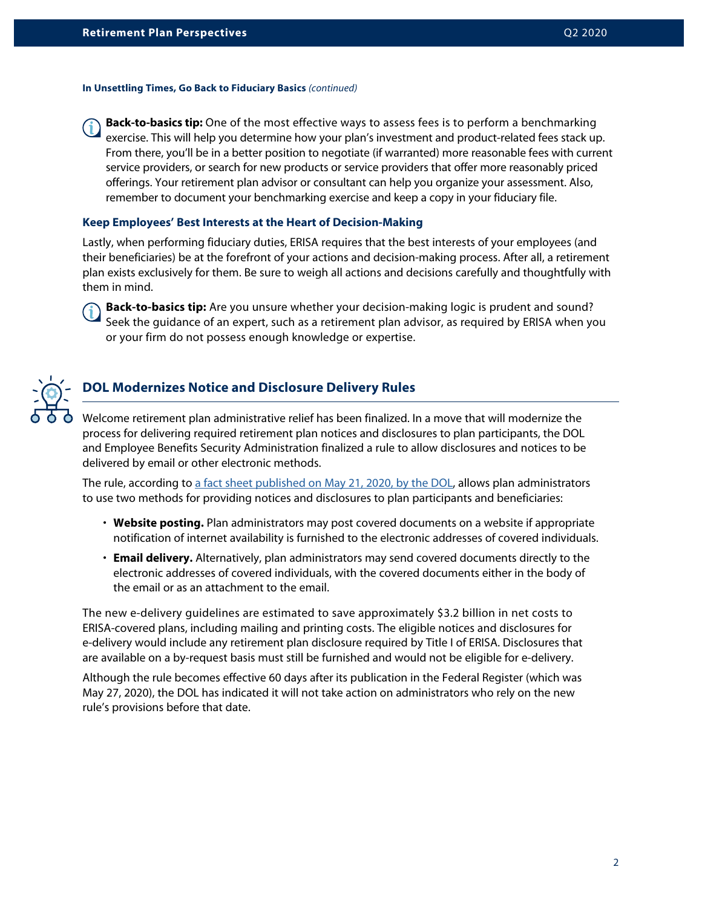#### **In Unsettling Times, Go Back to Fiduciary Basics** *(continued)*

**Back-to-basics tip:** One of the most effective ways to assess fees is to perform a benchmarking exercise. This will help you determine how your plan's investment and product-related fees stack up. From there, you'll be in a better position to negotiate (if warranted) more reasonable fees with current service providers, or search for new products or service providers that offer more reasonably priced offerings. Your retirement plan advisor or consultant can help you organize your assessment. Also, remember to document your benchmarking exercise and keep a copy in your fiduciary file.

#### **Keep Employees' Best Interests at the Heart of Decision-Making**

Lastly, when performing fiduciary duties, ERISA requires that the best interests of your employees (and their beneficiaries) be at the forefront of your actions and decision-making process. After all, a retirement plan exists exclusively for them. Be sure to weigh all actions and decisions carefully and thoughtfully with them in mind.

**Back-to-basics tip:** Are you unsure whether your decision-making logic is prudent and sound? Seek the guidance of an expert, such as a retirement plan advisor, as required by ERISA when you or your firm do not possess enough knowledge or expertise.



## **DOL Modernizes Notice and Disclosure Delivery Rules**

Welcome retirement plan administrative relief has been finalized. In a move that will modernize the process for delivering required retirement plan notices and disclosures to plan participants, the DOL and Employee Benefits Security Administration finalized a rule to allow disclosures and notices to be delivered by email or other electronic methods.

The rule, according to [a fact sheet published on May 21, 2020, by the DOL](https://www.dol.gov/agencies/ebsa/about-ebsa/our-activities/resource-center/fact-sheets/electronic-disclosure-safe-harbor-for-retirement-plans), allows plan administrators to use two methods for providing notices and disclosures to plan participants and beneficiaries:

- **Website posting.** Plan administrators may post covered documents on a website if appropriate notification of internet availability is furnished to the electronic addresses of covered individuals.
- **Email delivery.** Alternatively, plan administrators may send covered documents directly to the electronic addresses of covered individuals, with the covered documents either in the body of the email or as an attachment to the email.

The new e-delivery guidelines are estimated to save approximately \$3.2 billion in net costs to ERISA-covered plans, including mailing and printing costs. The eligible notices and disclosures for e-delivery would include any retirement plan disclosure required by Title I of ERISA. Disclosures that are available on a by-request basis must still be furnished and would not be eligible for e-delivery.

Although the rule becomes effective 60 days after its publication in the Federal Register (which was May 27, 2020), the DOL has indicated it will not take action on administrators who rely on the new rule's provisions before that date.